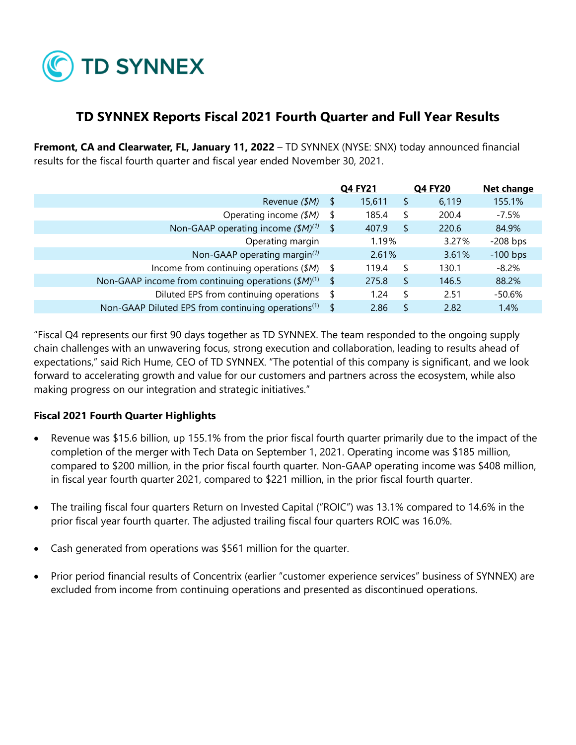

# **TD SYNNEX Reports Fiscal 2021 Fourth Quarter and Full Year Results**

**Fremont, CA and Clearwater, FL, January 11, 2022** – TD SYNNEX (NYSE: SNX) today announced financial results for the fiscal fourth quarter and fiscal year ended November 30, 2021.

|                                                                   | <b>Q4 FY21</b> |        |                |       | <b>Q4 FY20</b> |  | <b>Net change</b> |
|-------------------------------------------------------------------|----------------|--------|----------------|-------|----------------|--|-------------------|
| Revenue $(\frac{4}{3})$                                           | \$             | 15,611 | \$             | 6,119 | 155.1%         |  |                   |
| Operating income $(\frac{4}{3})$                                  | - \$           | 185.4  | \$             | 200.4 | $-7.5\%$       |  |                   |
| Non-GAAP operating income $(\frac{4}{3}M)^{(1)}$                  | \$             | 407.9  | \$             | 220.6 | 84.9%          |  |                   |
| Operating margin                                                  |                | 1.19%  |                | 3.27% | $-208$ bps     |  |                   |
| Non-GAAP operating margin <sup>(1)</sup>                          |                | 2.61%  |                | 3.61% | $-100$ bps     |  |                   |
| Income from continuing operations $(\frac{4}{9})$ \$              |                | 119.4  | \$             | 130.1 | $-8.2%$        |  |                   |
| Non-GAAP income from continuing operations $(\frac{2}{3}M)^{(1)}$ | -S             | 275.8  | $\mathsf{\$}$  | 146.5 | 88.2%          |  |                   |
| Diluted EPS from continuing operations                            | $\mathsf{S}$   | 1.24   | \$             | 2.51  | -50.6%         |  |                   |
| Non-GAAP Diluted EPS from continuing operations <sup>(1)</sup>    | - \$           | 2.86   | $\mathfrak{L}$ | 2.82  | 1.4%           |  |                   |

"Fiscal Q4 represents our first 90 days together as TD SYNNEX. The team responded to the ongoing supply chain challenges with an unwavering focus, strong execution and collaboration, leading to results ahead of expectations," said Rich Hume, CEO of TD SYNNEX. "The potential of this company is significant, and we look forward to accelerating growth and value for our customers and partners across the ecosystem, while also making progress on our integration and strategic initiatives."

### **Fiscal 2021 Fourth Quarter Highlights**

- Revenue was \$15.6 billion, up 155.1% from the prior fiscal fourth quarter primarily due to the impact of the completion of the merger with Tech Data on September 1, 2021. Operating income was \$185 million, compared to \$200 million, in the prior fiscal fourth quarter. Non-GAAP operating income was \$408 million, in fiscal year fourth quarter 2021, compared to \$221 million, in the prior fiscal fourth quarter.
- The trailing fiscal four quarters Return on Invested Capital ("ROIC") was 13.1% compared to 14.6% in the prior fiscal year fourth quarter. The adjusted trailing fiscal four quarters ROIC was 16.0%.
- Cash generated from operations was \$561 million for the quarter.
- Prior period financial results of Concentrix (earlier "customer experience services" business of SYNNEX) are excluded from income from continuing operations and presented as discontinued operations.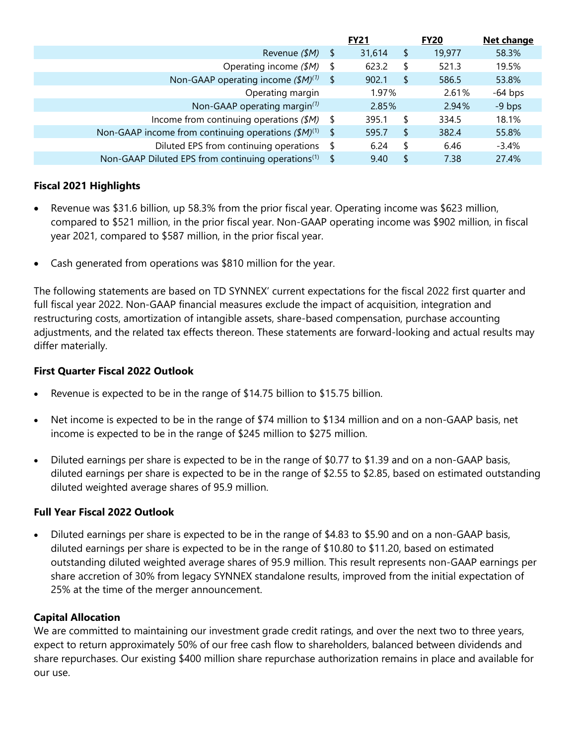|                                                                   |                | <b>FY21</b> |            | <b>FY20</b> | <b>Net change</b> |
|-------------------------------------------------------------------|----------------|-------------|------------|-------------|-------------------|
| Revenue $(\$M)$                                                   | - \$           | 31,614      | $\sqrt{2}$ | 19,977      | 58.3%             |
| Operating income (\$M)                                            | -\$            | 623.2       | \$         | 521.3       | 19.5%             |
| Non-GAAP operating income $(\frac{4}{3}M)^{(1)}$                  | - S            | 902.1       | \$         | 586.5       | 53.8%             |
| Operating margin                                                  |                | 1.97%       |            | 2.61%       | $-64$ bps         |
| Non-GAAP operating margin <sup>(1)</sup>                          |                | 2.85%       |            | 2.94%       | $-9$ bps          |
| Income from continuing operations (\$M)                           | \$             | 395.1       | S          | 334.5       | 18.1%             |
| Non-GAAP income from continuing operations $(\frac{4}{3}M)^{(1)}$ | - S            | 595.7       | \$         | 382.4       | 55.8%             |
| Diluted EPS from continuing operations                            | - \$           | 6.24        | \$         | 6.46        | $-3.4%$           |
| Non-GAAP Diluted EPS from continuing operations <sup>(1)</sup>    | $\mathfrak{L}$ | 9.40        | \$         | 7.38        | 27.4%             |

# **Fiscal 2021 Highlights**

- Revenue was \$31.6 billion, up 58.3% from the prior fiscal year. Operating income was \$623 million, compared to \$521 million, in the prior fiscal year. Non-GAAP operating income was \$902 million, in fiscal year 2021, compared to \$587 million, in the prior fiscal year.
- Cash generated from operations was \$810 million for the year.

The following statements are based on TD SYNNEX' current expectations for the fiscal 2022 first quarter and full fiscal year 2022. Non-GAAP financial measures exclude the impact of acquisition, integration and restructuring costs, amortization of intangible assets, share-based compensation, purchase accounting adjustments, and the related tax effects thereon. These statements are forward-looking and actual results may differ materially.

# **First Quarter Fiscal 2022 Outlook**

- Revenue is expected to be in the range of \$14.75 billion to \$15.75 billion.
- Net income is expected to be in the range of \$74 million to \$134 million and on a non-GAAP basis, net income is expected to be in the range of \$245 million to \$275 million.
- Diluted earnings per share is expected to be in the range of \$0.77 to \$1.39 and on a non-GAAP basis, diluted earnings per share is expected to be in the range of \$2.55 to \$2.85, based on estimated outstanding diluted weighted average shares of 95.9 million.

# **Full Year Fiscal 2022 Outlook**

• Diluted earnings per share is expected to be in the range of \$4.83 to \$5.90 and on a non-GAAP basis, diluted earnings per share is expected to be in the range of \$10.80 to \$11.20, based on estimated outstanding diluted weighted average shares of 95.9 million. This result represents non-GAAP earnings per share accretion of 30% from legacy SYNNEX standalone results, improved from the initial expectation of 25% at the time of the merger announcement.

# **Capital Allocation**

We are committed to maintaining our investment grade credit ratings, and over the next two to three years, expect to return approximately 50% of our free cash flow to shareholders, balanced between dividends and share repurchases. Our existing \$400 million share repurchase authorization remains in place and available for our use.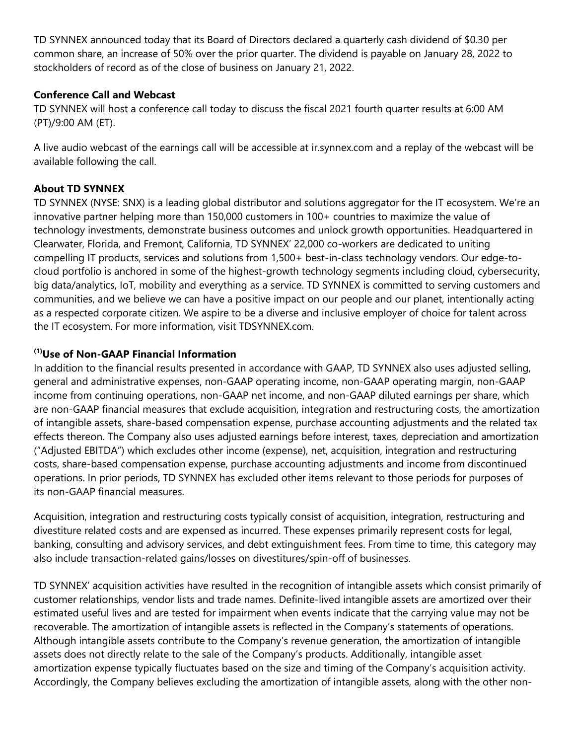TD SYNNEX announced today that its Board of Directors declared a quarterly cash dividend of \$0.30 per common share, an increase of 50% over the prior quarter. The dividend is payable on January 28, 2022 to stockholders of record as of the close of business on January 21, 2022.

# **Conference Call and Webcast**

TD SYNNEX will host a conference call today to discuss the fiscal 2021 fourth quarter results at 6:00 AM (PT)/9:00 AM (ET).

A live audio webcast of the earnings call will be accessible at ir.synnex.com and a replay of the webcast will be available following the call.

# **About TD SYNNEX**

TD SYNNEX (NYSE: SNX) is a leading global distributor and solutions aggregator for the IT ecosystem. We're an innovative partner helping more than 150,000 customers in 100+ countries to maximize the value of technology investments, demonstrate business outcomes and unlock growth opportunities. Headquartered in Clearwater, Florida, and Fremont, California, TD SYNNEX' 22,000 co-workers are dedicated to uniting compelling IT products, services and solutions from 1,500+ best-in-class technology vendors. Our edge-tocloud portfolio is anchored in some of the highest-growth technology segments including cloud, cybersecurity, big data/analytics, IoT, mobility and everything as a service. TD SYNNEX is committed to serving customers and communities, and we believe we can have a positive impact on our people and our planet, intentionally acting as a respected corporate citizen. We aspire to be a diverse and inclusive employer of choice for talent across the IT ecosystem. For more information, visit TDSYNNEX.com.

### **(1)Use of Non-GAAP Financial Information**

In addition to the financial results presented in accordance with GAAP, TD SYNNEX also uses adjusted selling, general and administrative expenses, non-GAAP operating income, non-GAAP operating margin, non-GAAP income from continuing operations, non-GAAP net income, and non-GAAP diluted earnings per share, which are non-GAAP financial measures that exclude acquisition, integration and restructuring costs, the amortization of intangible assets, share-based compensation expense, purchase accounting adjustments and the related tax effects thereon. The Company also uses adjusted earnings before interest, taxes, depreciation and amortization ("Adjusted EBITDA") which excludes other income (expense), net, acquisition, integration and restructuring costs, share-based compensation expense, purchase accounting adjustments and income from discontinued operations. In prior periods, TD SYNNEX has excluded other items relevant to those periods for purposes of its non-GAAP financial measures.

Acquisition, integration and restructuring costs typically consist of acquisition, integration, restructuring and divestiture related costs and are expensed as incurred. These expenses primarily represent costs for legal, banking, consulting and advisory services, and debt extinguishment fees. From time to time, this category may also include transaction-related gains/losses on divestitures/spin-off of businesses.

TD SYNNEX' acquisition activities have resulted in the recognition of intangible assets which consist primarily of customer relationships, vendor lists and trade names. Definite-lived intangible assets are amortized over their estimated useful lives and are tested for impairment when events indicate that the carrying value may not be recoverable. The amortization of intangible assets is reflected in the Company's statements of operations. Although intangible assets contribute to the Company's revenue generation, the amortization of intangible assets does not directly relate to the sale of the Company's products. Additionally, intangible asset amortization expense typically fluctuates based on the size and timing of the Company's acquisition activity. Accordingly, the Company believes excluding the amortization of intangible assets, along with the other non-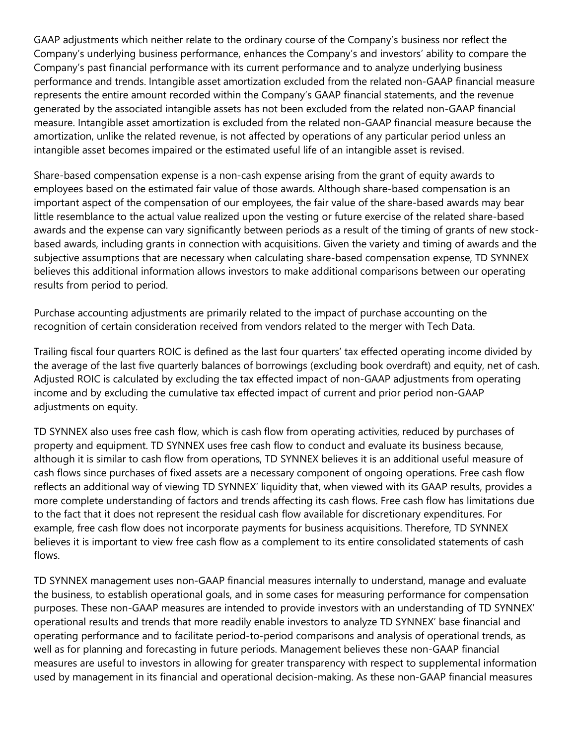GAAP adjustments which neither relate to the ordinary course of the Company's business nor reflect the Company's underlying business performance, enhances the Company's and investors' ability to compare the Company's past financial performance with its current performance and to analyze underlying business performance and trends. Intangible asset amortization excluded from the related non-GAAP financial measure represents the entire amount recorded within the Company's GAAP financial statements, and the revenue generated by the associated intangible assets has not been excluded from the related non-GAAP financial measure. Intangible asset amortization is excluded from the related non-GAAP financial measure because the amortization, unlike the related revenue, is not affected by operations of any particular period unless an intangible asset becomes impaired or the estimated useful life of an intangible asset is revised.

Share-based compensation expense is a non-cash expense arising from the grant of equity awards to employees based on the estimated fair value of those awards. Although share-based compensation is an important aspect of the compensation of our employees, the fair value of the share-based awards may bear little resemblance to the actual value realized upon the vesting or future exercise of the related share-based awards and the expense can vary significantly between periods as a result of the timing of grants of new stockbased awards, including grants in connection with acquisitions. Given the variety and timing of awards and the subjective assumptions that are necessary when calculating share-based compensation expense, TD SYNNEX believes this additional information allows investors to make additional comparisons between our operating results from period to period.

Purchase accounting adjustments are primarily related to the impact of purchase accounting on the recognition of certain consideration received from vendors related to the merger with Tech Data.

Trailing fiscal four quarters ROIC is defined as the last four quarters' tax effected operating income divided by the average of the last five quarterly balances of borrowings (excluding book overdraft) and equity, net of cash. Adjusted ROIC is calculated by excluding the tax effected impact of non-GAAP adjustments from operating income and by excluding the cumulative tax effected impact of current and prior period non-GAAP adjustments on equity.

TD SYNNEX also uses free cash flow, which is cash flow from operating activities, reduced by purchases of property and equipment. TD SYNNEX uses free cash flow to conduct and evaluate its business because, although it is similar to cash flow from operations, TD SYNNEX believes it is an additional useful measure of cash flows since purchases of fixed assets are a necessary component of ongoing operations. Free cash flow reflects an additional way of viewing TD SYNNEX' liquidity that, when viewed with its GAAP results, provides a more complete understanding of factors and trends affecting its cash flows. Free cash flow has limitations due to the fact that it does not represent the residual cash flow available for discretionary expenditures. For example, free cash flow does not incorporate payments for business acquisitions. Therefore, TD SYNNEX believes it is important to view free cash flow as a complement to its entire consolidated statements of cash flows.

TD SYNNEX management uses non-GAAP financial measures internally to understand, manage and evaluate the business, to establish operational goals, and in some cases for measuring performance for compensation purposes. These non-GAAP measures are intended to provide investors with an understanding of TD SYNNEX' operational results and trends that more readily enable investors to analyze TD SYNNEX' base financial and operating performance and to facilitate period-to-period comparisons and analysis of operational trends, as well as for planning and forecasting in future periods. Management believes these non-GAAP financial measures are useful to investors in allowing for greater transparency with respect to supplemental information used by management in its financial and operational decision-making. As these non-GAAP financial measures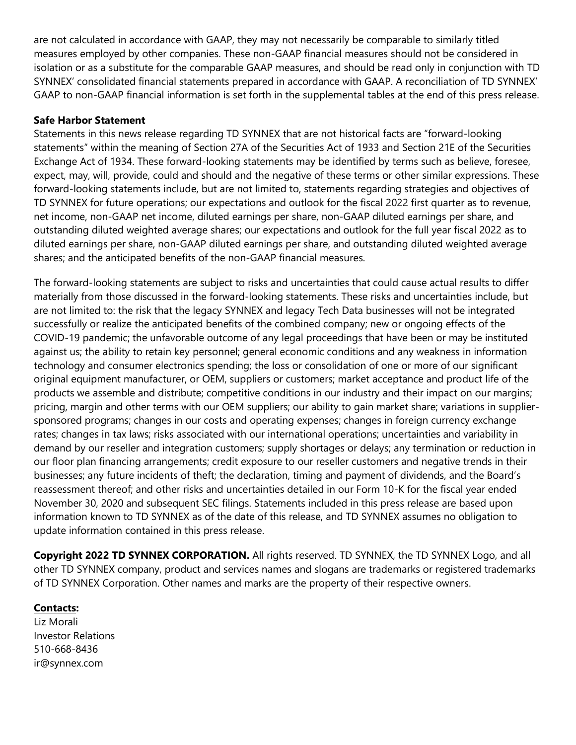are not calculated in accordance with GAAP, they may not necessarily be comparable to similarly titled measures employed by other companies. These non-GAAP financial measures should not be considered in isolation or as a substitute for the comparable GAAP measures, and should be read only in conjunction with TD SYNNEX' consolidated financial statements prepared in accordance with GAAP. A reconciliation of TD SYNNEX' GAAP to non-GAAP financial information is set forth in the supplemental tables at the end of this press release.

#### **Safe Harbor Statement**

Statements in this news release regarding TD SYNNEX that are not historical facts are "forward-looking statements" within the meaning of Section 27A of the Securities Act of 1933 and Section 21E of the Securities Exchange Act of 1934. These forward-looking statements may be identified by terms such as believe, foresee, expect, may, will, provide, could and should and the negative of these terms or other similar expressions. These forward-looking statements include, but are not limited to, statements regarding strategies and objectives of TD SYNNEX for future operations; our expectations and outlook for the fiscal 2022 first quarter as to revenue, net income, non-GAAP net income, diluted earnings per share, non-GAAP diluted earnings per share, and outstanding diluted weighted average shares; our expectations and outlook for the full year fiscal 2022 as to diluted earnings per share, non-GAAP diluted earnings per share, and outstanding diluted weighted average shares; and the anticipated benefits of the non-GAAP financial measures.

The forward-looking statements are subject to risks and uncertainties that could cause actual results to differ materially from those discussed in the forward-looking statements. These risks and uncertainties include, but are not limited to: the risk that the legacy SYNNEX and legacy Tech Data businesses will not be integrated successfully or realize the anticipated benefits of the combined company; new or ongoing effects of the COVID-19 pandemic; the unfavorable outcome of any legal proceedings that have been or may be instituted against us; the ability to retain key personnel; general economic conditions and any weakness in information technology and consumer electronics spending; the loss or consolidation of one or more of our significant original equipment manufacturer, or OEM, suppliers or customers; market acceptance and product life of the products we assemble and distribute; competitive conditions in our industry and their impact on our margins; pricing, margin and other terms with our OEM suppliers; our ability to gain market share; variations in suppliersponsored programs; changes in our costs and operating expenses; changes in foreign currency exchange rates; changes in tax laws; risks associated with our international operations; uncertainties and variability in demand by our reseller and integration customers; supply shortages or delays; any termination or reduction in our floor plan financing arrangements; credit exposure to our reseller customers and negative trends in their businesses; any future incidents of theft; the declaration, timing and payment of dividends, and the Board's reassessment thereof; and other risks and uncertainties detailed in our Form 10-K for the fiscal year ended November 30, 2020 and subsequent SEC filings. Statements included in this press release are based upon information known to TD SYNNEX as of the date of this release, and TD SYNNEX assumes no obligation to update information contained in this press release.

**Copyright 2022 TD SYNNEX CORPORATION.** All rights reserved. TD SYNNEX, the TD SYNNEX Logo, and all other TD SYNNEX company, product and services names and slogans are trademarks or registered trademarks of TD SYNNEX Corporation. Other names and marks are the property of their respective owners.

### **Contacts:**

Liz Morali Investor Relations 510-668-8436 ir@synnex.com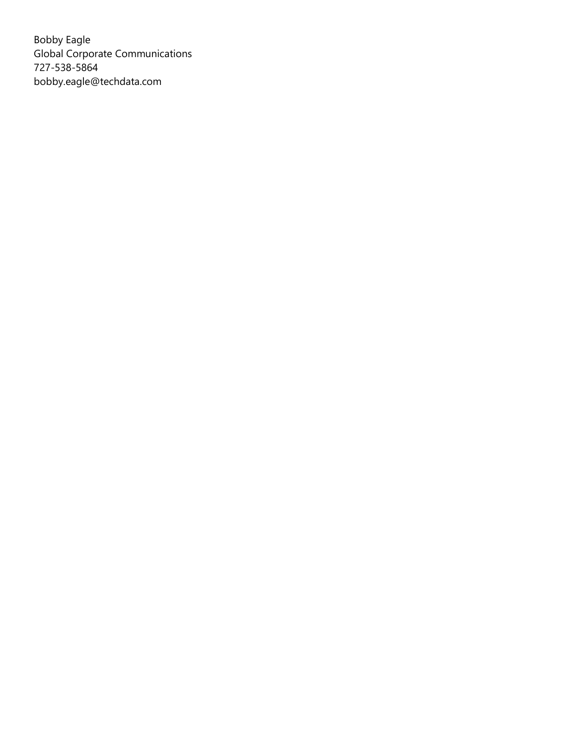Bobby Eagle Global Corporate Communications 727-538-5864 bobby.eagle@techdata.com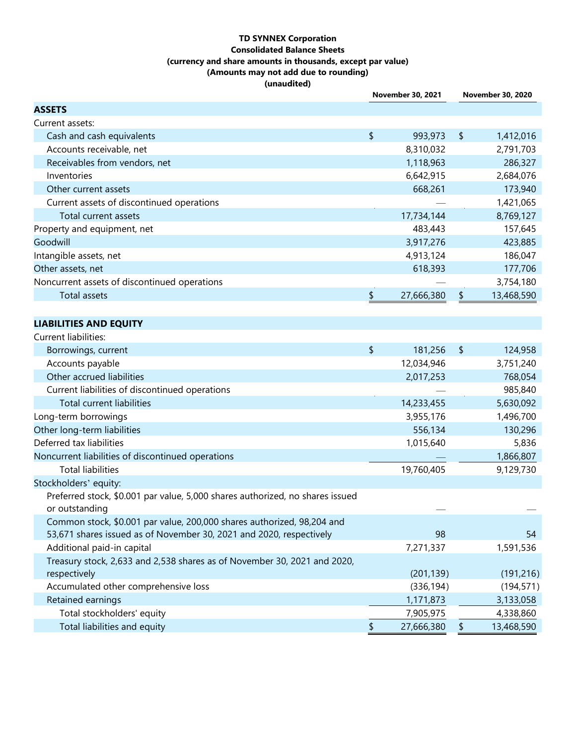#### **TD SYNNEX Corporation Consolidated Balance Sheets (currency and share amounts in thousands, except par value) (Amounts may not add due to rounding) (unaudited)**

|                                                                               | <b>November 30, 2021</b> | <b>November 30, 2020</b> |            |  |
|-------------------------------------------------------------------------------|--------------------------|--------------------------|------------|--|
| <b>ASSETS</b>                                                                 |                          |                          |            |  |
| Current assets:                                                               |                          |                          |            |  |
| Cash and cash equivalents                                                     | \$<br>993,973            | $\frac{1}{2}$            | 1,412,016  |  |
| Accounts receivable, net                                                      | 8,310,032                |                          | 2,791,703  |  |
| Receivables from vendors, net                                                 | 1,118,963                |                          | 286,327    |  |
| Inventories                                                                   | 6,642,915                |                          | 2,684,076  |  |
| Other current assets                                                          | 668,261                  |                          | 173,940    |  |
| Current assets of discontinued operations                                     |                          |                          | 1,421,065  |  |
| Total current assets                                                          | 17,734,144               |                          | 8,769,127  |  |
| Property and equipment, net                                                   | 483,443                  |                          | 157,645    |  |
| Goodwill                                                                      | 3,917,276                |                          | 423,885    |  |
| Intangible assets, net                                                        | 4,913,124                |                          | 186,047    |  |
| Other assets, net                                                             | 618,393                  |                          | 177,706    |  |
| Noncurrent assets of discontinued operations                                  |                          |                          | 3,754,180  |  |
| <b>Total assets</b>                                                           | \$<br>27,666,380         | \$                       | 13,468,590 |  |
|                                                                               |                          |                          |            |  |
| <b>LIABILITIES AND EQUITY</b>                                                 |                          |                          |            |  |
| Current liabilities:                                                          |                          |                          |            |  |
| Borrowings, current                                                           | \$<br>181,256            | $\frac{1}{2}$            | 124,958    |  |
| Accounts payable                                                              | 12,034,946               |                          | 3,751,240  |  |
| Other accrued liabilities                                                     | 2,017,253                |                          | 768,054    |  |
| Current liabilities of discontinued operations                                |                          |                          | 985,840    |  |
| <b>Total current liabilities</b>                                              | 14,233,455               |                          | 5,630,092  |  |
| Long-term borrowings                                                          | 3,955,176                |                          | 1,496,700  |  |
| Other long-term liabilities                                                   | 556,134                  |                          | 130,296    |  |
| Deferred tax liabilities                                                      | 1,015,640                |                          | 5,836      |  |
| Noncurrent liabilities of discontinued operations                             |                          |                          | 1,866,807  |  |
| <b>Total liabilities</b>                                                      | 19,760,405               |                          | 9,129,730  |  |
| Stockholders' equity:                                                         |                          |                          |            |  |
| Preferred stock, \$0.001 par value, 5,000 shares authorized, no shares issued |                          |                          |            |  |
| or outstanding                                                                |                          |                          |            |  |
| Common stock, \$0.001 par value, 200,000 shares authorized, 98,204 and        |                          |                          |            |  |
| 53,671 shares issued as of November 30, 2021 and 2020, respectively           | 98                       |                          | 54         |  |
| Additional paid-in capital                                                    | 7,271,337                |                          | 1,591,536  |  |
| Treasury stock, 2,633 and 2,538 shares as of November 30, 2021 and 2020,      |                          |                          |            |  |
| respectively                                                                  | (201, 139)               |                          | (191, 216) |  |
| Accumulated other comprehensive loss                                          | (336, 194)               |                          | (194, 571) |  |
| Retained earnings                                                             | 1,171,873                |                          | 3,133,058  |  |
| Total stockholders' equity                                                    | 7,905,975                |                          | 4,338,860  |  |
| Total liabilities and equity                                                  | \$<br>27,666,380         | $\frac{1}{2}$            | 13,468,590 |  |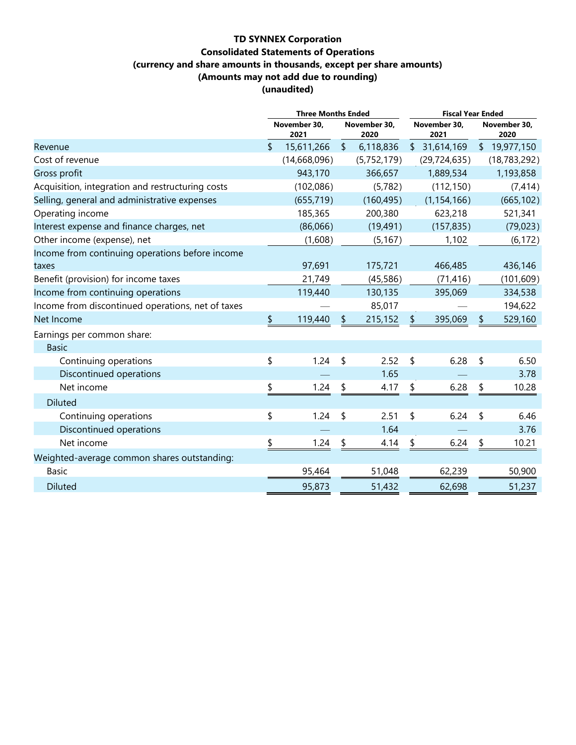#### **TD SYNNEX Corporation Consolidated Statements of Operations (currency and share amounts in thousands, except per share amounts) (Amounts may not add due to rounding) (unaudited)**

|                                                   | <b>Three Months Ended</b> |                      |    | <b>Fiscal Year Ended</b> |                      |    |                      |  |
|---------------------------------------------------|---------------------------|----------------------|----|--------------------------|----------------------|----|----------------------|--|
|                                                   |                           | November 30,<br>2021 |    | November 30,<br>2020     | November 30,<br>2021 |    | November 30,<br>2020 |  |
| Revenue                                           | \$                        | 15,611,266           | \$ | 6,118,836                | \$31,614,169         |    | \$19,977,150         |  |
| Cost of revenue                                   |                           | (14,668,096)         |    | (5, 752, 179)            | (29, 724, 635)       |    | (18, 783, 292)       |  |
| Gross profit                                      |                           | 943,170              |    | 366,657                  | 1,889,534            |    | 1,193,858            |  |
| Acquisition, integration and restructuring costs  |                           | (102, 086)           |    | (5,782)                  | (112, 150)           |    | (7, 414)             |  |
| Selling, general and administrative expenses      |                           | (655, 719)           |    | (160, 495)               | (1, 154, 166)        |    | (665, 102)           |  |
| Operating income                                  |                           | 185,365              |    | 200,380                  | 623,218              |    | 521,341              |  |
| Interest expense and finance charges, net         |                           | (86,066)             |    | (19, 491)                | (157, 835)           |    | (79, 023)            |  |
| Other income (expense), net                       |                           | (1,608)              |    | (5, 167)                 | 1,102                |    | (6, 172)             |  |
| Income from continuing operations before income   |                           |                      |    |                          |                      |    |                      |  |
| taxes                                             |                           | 97,691               |    | 175,721                  | 466,485              |    | 436,146              |  |
| Benefit (provision) for income taxes              |                           | 21,749               |    | (45, 586)                | (71, 416)            |    | (101, 609)           |  |
| Income from continuing operations                 |                           | 119,440              |    | 130,135                  | 395,069              |    | 334,538              |  |
| Income from discontinued operations, net of taxes |                           |                      |    | 85,017                   |                      |    | 194,622              |  |
| Net Income                                        | \$                        | 119,440              | \$ | 215,152                  | \$<br>395,069        | \$ | 529,160              |  |
| Earnings per common share:                        |                           |                      |    |                          |                      |    |                      |  |
| <b>Basic</b>                                      |                           |                      |    |                          |                      |    |                      |  |
| Continuing operations                             | \$                        | 1.24                 | \$ | 2.52                     | \$<br>6.28           | \$ | 6.50                 |  |
| Discontinued operations                           |                           |                      |    | 1.65                     |                      |    | 3.78                 |  |
| Net income                                        | \$                        | 1.24                 | \$ | 4.17                     | \$<br>6.28           | \$ | 10.28                |  |
| <b>Diluted</b>                                    |                           |                      |    |                          |                      |    |                      |  |
| Continuing operations                             | \$                        | 1.24                 | \$ | 2.51                     | \$<br>6.24           | \$ | 6.46                 |  |
| Discontinued operations                           |                           |                      |    | 1.64                     |                      |    | 3.76                 |  |
| Net income                                        | \$                        | 1.24                 | \$ | 4.14                     | \$<br>6.24           | \$ | 10.21                |  |
| Weighted-average common shares outstanding:       |                           |                      |    |                          |                      |    |                      |  |
| Basic                                             |                           | 95,464               |    | 51,048                   | 62,239               |    | 50,900               |  |
| <b>Diluted</b>                                    |                           | 95,873               |    | 51,432                   | 62,698               |    | 51,237               |  |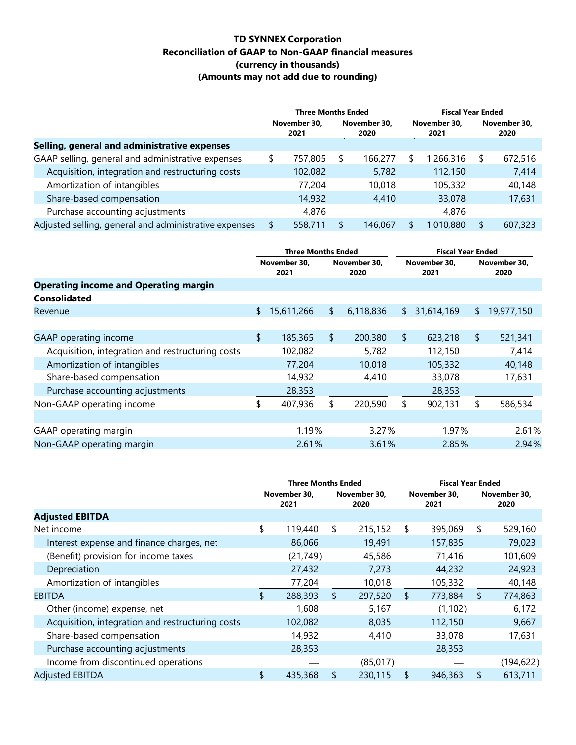#### **TD SYNNEX Corporation Reconciliation of GAAP to Non-GAAP financial measures (currency in thousands) (Amounts may not add due to rounding)**

|                                                       | <b>Three Months Ended</b> |                      |  |                      |                      | <b>Fiscal Year Ended</b> |                      |         |  |  |  |
|-------------------------------------------------------|---------------------------|----------------------|--|----------------------|----------------------|--------------------------|----------------------|---------|--|--|--|
|                                                       |                           | November 30,<br>2021 |  | November 30,<br>2020 | November 30.<br>2021 |                          | November 30,<br>2020 |         |  |  |  |
| Selling, general and administrative expenses          |                           |                      |  |                      |                      |                          |                      |         |  |  |  |
| GAAP selling, general and administrative expenses     |                           | 757,805              |  | 166,277              |                      | 1,266,316                | \$                   | 672,516 |  |  |  |
| Acquisition, integration and restructuring costs      |                           | 102,082              |  | 5,782                |                      | 112,150                  |                      | 7,414   |  |  |  |
| Amortization of intangibles                           |                           | 77,204               |  | 10.018               |                      | 105,332                  |                      | 40,148  |  |  |  |
| Share-based compensation                              |                           | 14,932               |  | 4.410                |                      | 33,078                   |                      | 17,631  |  |  |  |
| Purchase accounting adjustments                       |                           | 4,876                |  |                      |                      | 4,876                    |                      |         |  |  |  |
| Adjusted selling, general and administrative expenses |                           | 558,711              |  | 146.067              |                      | 1,010,880                | \$                   | 607,323 |  |  |  |

|                                                  | <b>Three Months Ended</b> |                      |           | <b>Fiscal Year Ended</b> |                      |       |                      |  |
|--------------------------------------------------|---------------------------|----------------------|-----------|--------------------------|----------------------|-------|----------------------|--|
|                                                  | November 30,<br>2021      | November 30,<br>2020 |           |                          | November 30,<br>2021 |       | November 30,<br>2020 |  |
| <b>Operating income and Operating margin</b>     |                           |                      |           |                          |                      |       |                      |  |
| <b>Consolidated</b>                              |                           |                      |           |                          |                      |       |                      |  |
| Revenue                                          | \$<br>15,611,266          | \$                   | 6,118,836 | \$                       | 31,614,169           | \$    | 19,977,150           |  |
|                                                  |                           |                      |           |                          |                      |       |                      |  |
| <b>GAAP</b> operating income                     | \$<br>185,365             | \$                   | 200,380   | \$                       | 623,218              | \$    | 521,341              |  |
| Acquisition, integration and restructuring costs | 102,082                   |                      | 5,782     |                          | 112,150              |       | 7,414                |  |
| Amortization of intangibles                      | 77,204                    |                      | 10,018    |                          | 105,332              |       | 40,148               |  |
| Share-based compensation                         | 14,932                    |                      | 4,410     |                          | 33,078               |       | 17,631               |  |
| Purchase accounting adjustments                  | 28,353                    |                      |           |                          | 28,353               |       |                      |  |
| Non-GAAP operating income                        | \$<br>407,936             | \$                   | 220,590   | \$                       | 902,131              | \$    | 586,534              |  |
|                                                  |                           |                      |           |                          |                      |       |                      |  |
| GAAP operating margin                            | 1.19%                     |                      | 3.27%     |                          | 1.97%                |       | 2.61%                |  |
| Non-GAAP operating margin                        | 2.61%<br>3.61%            |                      |           | 2.85%                    |                      | 2.94% |                      |  |

|                                                  | <b>Three Months Ended</b> |                      | <b>Fiscal Year Ended</b> |   |                      |    |                      |  |
|--------------------------------------------------|---------------------------|----------------------|--------------------------|---|----------------------|----|----------------------|--|
|                                                  | November 30,<br>2021      | November 30,<br>2020 |                          |   | November 30,<br>2021 |    | November 30,<br>2020 |  |
| <b>Adjusted EBITDA</b>                           |                           |                      |                          |   |                      |    |                      |  |
| Net income                                       | \$<br>119,440             | \$                   | 215,152                  | S | 395,069              | \$ | 529,160              |  |
| Interest expense and finance charges, net        | 86,066                    |                      | 19,491                   |   | 157,835              |    | 79,023               |  |
| (Benefit) provision for income taxes             | (21, 749)                 |                      | 45,586                   |   | 71,416               |    | 101,609              |  |
| Depreciation                                     | 27,432                    |                      | 7,273                    |   | 44,232               |    | 24,923               |  |
| Amortization of intangibles                      | 77,204                    |                      | 10,018                   |   | 105,332              |    | 40,148               |  |
| <b>EBITDA</b>                                    | \$<br>288,393             | \$                   | 297,520                  | S | 773,884              | \$ | 774,863              |  |
| Other (income) expense, net                      | 1,608                     |                      | 5,167                    |   | (1, 102)             |    | 6,172                |  |
| Acquisition, integration and restructuring costs | 102,082                   |                      | 8,035                    |   | 112,150              |    | 9,667                |  |
| Share-based compensation                         | 14,932                    |                      | 4,410                    |   | 33,078               |    | 17,631               |  |
| Purchase accounting adjustments                  | 28,353                    |                      |                          |   | 28,353               |    |                      |  |
| Income from discontinued operations              |                           |                      | (85, 017)                |   |                      |    | (194, 622)           |  |
| <b>Adjusted EBITDA</b>                           | \$<br>435,368             | \$                   | 230,115                  |   | 946,363              | S  | 613,711              |  |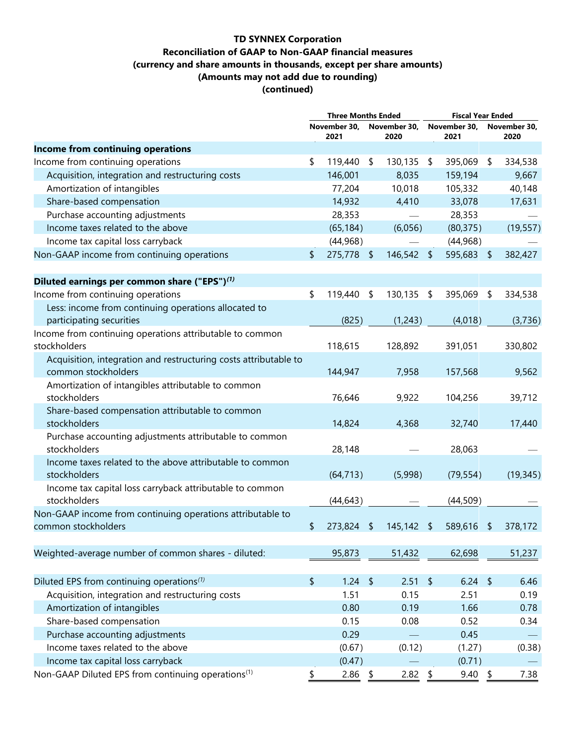#### **TD SYNNEX Corporation Reconciliation of GAAP to Non-GAAP financial measures (currency and share amounts in thousands, except per share amounts) (Amounts may not add due to rounding) (continued)**

|                                                                                         | <b>Three Months Ended</b> |                      |                         |                      |            |                      | <b>Fiscal Year Ended</b> |                      |  |  |
|-----------------------------------------------------------------------------------------|---------------------------|----------------------|-------------------------|----------------------|------------|----------------------|--------------------------|----------------------|--|--|
|                                                                                         |                           | November 30,<br>2021 |                         | November 30,<br>2020 |            | November 30,<br>2021 |                          | November 30,<br>2020 |  |  |
| Income from continuing operations                                                       |                           |                      |                         |                      |            |                      |                          |                      |  |  |
| Income from continuing operations                                                       | \$                        | 119,440              | $\sqrt{2}$              | 130,135              | \$         | 395,069              | \$                       | 334,538              |  |  |
| Acquisition, integration and restructuring costs                                        |                           | 146,001              |                         | 8,035                |            | 159,194              |                          | 9,667                |  |  |
| Amortization of intangibles                                                             |                           | 77,204               |                         | 10,018               |            | 105,332              |                          | 40,148               |  |  |
| Share-based compensation                                                                |                           | 14,932               |                         | 4,410                |            | 33,078               |                          | 17,631               |  |  |
| Purchase accounting adjustments                                                         |                           | 28,353               |                         |                      |            | 28,353               |                          |                      |  |  |
| Income taxes related to the above                                                       |                           | (65, 184)            |                         | (6,056)              |            | (80, 375)            |                          | (19, 557)            |  |  |
| Income tax capital loss carryback                                                       |                           | (44, 968)            |                         |                      |            | (44, 968)            |                          |                      |  |  |
| Non-GAAP income from continuing operations                                              | \$                        | 275,778 \$           |                         | 146,542              | $\sqrt{2}$ | 595,683              | \$                       | 382,427              |  |  |
| Diluted earnings per common share ("EPS") <sup>(1)</sup>                                |                           |                      |                         |                      |            |                      |                          |                      |  |  |
| Income from continuing operations                                                       | \$                        | 119,440              | $\sqrt{2}$              | 130,135              | \$         | 395,069              | \$                       | 334,538              |  |  |
| Less: income from continuing operations allocated to<br>participating securities        |                           | (825)                |                         | (1,243)              |            | (4,018)              |                          | (3,736)              |  |  |
| Income from continuing operations attributable to common<br>stockholders                |                           | 118,615              |                         | 128,892              |            | 391,051              |                          | 330,802              |  |  |
| Acquisition, integration and restructuring costs attributable to<br>common stockholders |                           | 144,947              |                         | 7,958                |            | 157,568              |                          | 9,562                |  |  |
| Amortization of intangibles attributable to common<br>stockholders                      |                           | 76,646               |                         | 9,922                |            | 104,256              |                          | 39,712               |  |  |
| Share-based compensation attributable to common<br>stockholders                         |                           | 14,824               |                         | 4,368                |            | 32,740               |                          | 17,440               |  |  |
| Purchase accounting adjustments attributable to common                                  |                           |                      |                         |                      |            |                      |                          |                      |  |  |
| stockholders<br>Income taxes related to the above attributable to common                |                           | 28,148               |                         |                      |            | 28,063               |                          |                      |  |  |
| stockholders                                                                            |                           | (64, 713)            |                         | (5,998)              |            | (79, 554)            |                          | (19, 345)            |  |  |
| Income tax capital loss carryback attributable to common<br>stockholders                |                           | (44, 643)            |                         |                      |            | (44, 509)            |                          |                      |  |  |
| Non-GAAP income from continuing operations attributable to<br>common stockholders       | \$                        | 273,824              | -\$                     | $145,142$ \$         |            | 589,616              | $\sqrt{5}$               | 378,172              |  |  |
| Weighted-average number of common shares - diluted:                                     |                           | 95,873               |                         | 51,432               |            | 62,698               |                          | 51,237               |  |  |
| Diluted EPS from continuing operations <sup>(1)</sup>                                   | $\frac{1}{2}$             | $1.24$ \$            |                         | 2.51                 | $\sqrt{2}$ | 6.24                 | $\sqrt{2}$               | 6.46                 |  |  |
| Acquisition, integration and restructuring costs                                        |                           | 1.51                 |                         | 0.15                 |            | 2.51                 |                          | 0.19                 |  |  |
| Amortization of intangibles                                                             |                           | 0.80                 |                         | 0.19                 |            | 1.66                 |                          | 0.78                 |  |  |
| Share-based compensation                                                                |                           | 0.15                 |                         | 0.08                 |            | 0.52                 |                          | 0.34                 |  |  |
| Purchase accounting adjustments                                                         |                           | 0.29                 |                         |                      |            | 0.45                 |                          |                      |  |  |
| Income taxes related to the above                                                       |                           | (0.67)               |                         | (0.12)               |            | (1.27)               |                          | (0.38)               |  |  |
| Income tax capital loss carryback                                                       |                           | (0.47)               |                         |                      |            | (0.71)               |                          |                      |  |  |
| Non-GAAP Diluted EPS from continuing operations <sup>(1)</sup>                          | \$                        | 2.86                 | $\sqrt[4]{\frac{1}{2}}$ | 2.82                 | \$         | 9.40                 | \$                       | 7.38                 |  |  |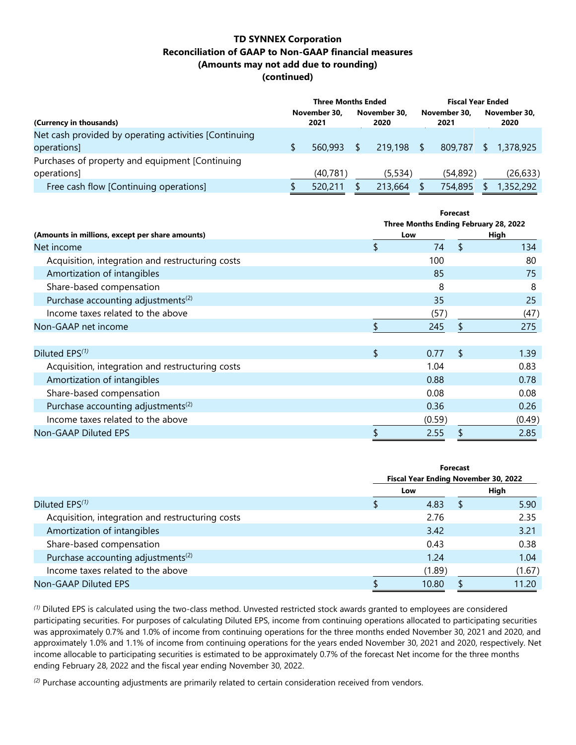#### **TD SYNNEX Corporation Reconciliation of GAAP to Non-GAAP financial measures (Amounts may not add due to rounding) (continued)**

|                                                        |  | <b>Three Months Ended</b> |                      | <b>Fiscal Year Ended</b> |                      |                      |           |  |
|--------------------------------------------------------|--|---------------------------|----------------------|--------------------------|----------------------|----------------------|-----------|--|
| (Currency in thousands)                                |  | November 30.<br>2021      | November 30.<br>2020 |                          | November 30.<br>2021 | November 30.<br>2020 |           |  |
| Net cash provided by operating activities [Continuing] |  |                           |                      |                          |                      |                      |           |  |
| operations]                                            |  | 560.993                   | 219.198              |                          | 809.787              |                      | 1.378.925 |  |
| Purchases of property and equipment [Continuing]       |  |                           |                      |                          |                      |                      |           |  |
| operations]                                            |  | (40, 781)                 | (5,534)              |                          | (54, 892)            |                      | (26, 633) |  |
| Free cash flow [Continuing operations]                 |  | 520,211                   | 213,664              |                          | 754,895              |                      | 1,352,292 |  |

|                                                  | Forecast |                                       |                |        |  |  |
|--------------------------------------------------|----------|---------------------------------------|----------------|--------|--|--|
|                                                  |          | Three Months Ending February 28, 2022 |                |        |  |  |
| (Amounts in millions, except per share amounts)  |          | Low                                   | High           |        |  |  |
| Net income                                       | \$       | 74                                    | S              | 134    |  |  |
| Acquisition, integration and restructuring costs |          | 100                                   |                | 80     |  |  |
| Amortization of intangibles                      |          | 85                                    |                | 75     |  |  |
| Share-based compensation                         |          | 8                                     |                | 8      |  |  |
| Purchase accounting adjustments <sup>(2)</sup>   |          | 35                                    |                | 25     |  |  |
| Income taxes related to the above                |          | (57)                                  |                | (47)   |  |  |
| Non-GAAP net income                              |          | 245                                   | S              | 275    |  |  |
|                                                  |          |                                       |                |        |  |  |
| Diluted $EPS(1)$                                 | \$       | 0.77                                  | $\mathfrak{L}$ | 1.39   |  |  |
| Acquisition, integration and restructuring costs |          | 1.04                                  |                | 0.83   |  |  |
| Amortization of intangibles                      |          | 0.88                                  |                | 0.78   |  |  |
| Share-based compensation                         |          | 0.08                                  |                | 0.08   |  |  |
| Purchase accounting adjustments <sup>(2)</sup>   |          | 0.36                                  |                | 0.26   |  |  |
| Income taxes related to the above                |          | (0.59)                                |                | (0.49) |  |  |
| Non-GAAP Diluted EPS                             |          | 2.55                                  |                | 2.85   |  |  |

|                                                  | <b>Forecast</b><br>Fiscal Year Ending November 30, 2022 |        |   |        |  |  |  |
|--------------------------------------------------|---------------------------------------------------------|--------|---|--------|--|--|--|
|                                                  | Low                                                     |        |   | High   |  |  |  |
| Diluted EPS <sup>(1)</sup>                       |                                                         | 4.83   | S | 5.90   |  |  |  |
| Acquisition, integration and restructuring costs |                                                         | 2.76   |   | 2.35   |  |  |  |
| Amortization of intangibles                      |                                                         | 3.42   |   | 3.21   |  |  |  |
| Share-based compensation                         |                                                         | 0.43   |   | 0.38   |  |  |  |
| Purchase accounting adjustments <sup>(2)</sup>   |                                                         | 1.24   |   | 1.04   |  |  |  |
| Income taxes related to the above                |                                                         | (1.89) |   | (1.67) |  |  |  |
| Non-GAAP Diluted EPS                             |                                                         | 10.80  |   | 11.20  |  |  |  |

*(1)* Diluted EPS is calculated using the two-class method. Unvested restricted stock awards granted to employees are considered participating securities. For purposes of calculating Diluted EPS, income from continuing operations allocated to participating securities was approximately 0.7% and 1.0% of income from continuing operations for the three months ended November 30, 2021 and 2020, and approximately 1.0% and 1.1% of income from continuing operations for the years ended November 30, 2021 and 2020, respectively. Net income allocable to participating securities is estimated to be approximately 0.7% of the forecast Net income for the three months ending February 28, 2022 and the fiscal year ending November 30, 2022.

*(2)* Purchase accounting adjustments are primarily related to certain consideration received from vendors.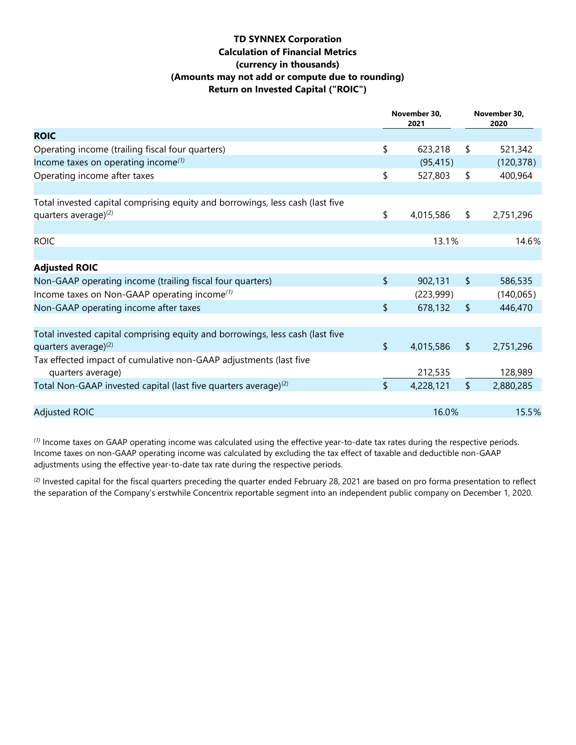#### **TD SYNNEX Corporation Calculation of Financial Metrics (currency in thousands) (Amounts may not add or compute due to rounding) Return on Invested Capital ("ROIC")**

|                                                                                                                   |               | November 30.<br>2021 |                         | November 30,<br>2020 |
|-------------------------------------------------------------------------------------------------------------------|---------------|----------------------|-------------------------|----------------------|
| <b>ROIC</b>                                                                                                       |               |                      |                         |                      |
| Operating income (trailing fiscal four quarters)                                                                  | \$            | 623,218              | \$                      | 521,342              |
| Income taxes on operating income $(1)$                                                                            |               | (95, 415)            |                         | (120, 378)           |
| Operating income after taxes                                                                                      | \$            | 527,803              | \$                      | 400,964              |
|                                                                                                                   |               |                      |                         |                      |
| Total invested capital comprising equity and borrowings, less cash (last five<br>quarters average) <sup>(2)</sup> | \$            | 4,015,586            | \$                      | 2,751,296            |
|                                                                                                                   |               |                      |                         |                      |
| <b>ROIC</b>                                                                                                       |               | 13.1%                |                         | 14.6%                |
| <b>Adjusted ROIC</b>                                                                                              |               |                      |                         |                      |
| Non-GAAP operating income (trailing fiscal four quarters)                                                         | \$            | 902,131              | \$                      | 586,535              |
| Income taxes on Non-GAAP operating income <sup>(1)</sup>                                                          |               | (223,999)            |                         | (140, 065)           |
| Non-GAAP operating income after taxes                                                                             | \$            | 678,132              | \$                      | 446,470              |
| Total invested capital comprising equity and borrowings, less cash (last five                                     |               |                      |                         |                      |
| quarters average) <sup>(2)</sup>                                                                                  | $\frac{1}{2}$ | 4,015,586            | $\sqrt[6]{\frac{1}{2}}$ | 2,751,296            |
| Tax effected impact of cumulative non-GAAP adjustments (last five                                                 |               |                      |                         |                      |
| quarters average)                                                                                                 |               | 212,535              |                         | 128,989              |
| Total Non-GAAP invested capital (last five quarters average) $(2)$                                                | \$            | 4,228,121            | $\sqrt{2}$              | 2,880,285            |
| <b>Adjusted ROIC</b>                                                                                              |               | 16.0%                |                         | 15.5%                |

*(1)* Income taxes on GAAP operating income was calculated using the effective year-to-date tax rates during the respective periods. Income taxes on non-GAAP operating income was calculated by excluding the tax effect of taxable and deductible non-GAAP adjustments using the effective year-to-date tax rate during the respective periods.

*(2)* Invested capital for the fiscal quarters preceding the quarter ended February 28, 2021 are based on pro forma presentation to reflect the separation of the Company's erstwhile Concentrix reportable segment into an independent public company on December 1, 2020.